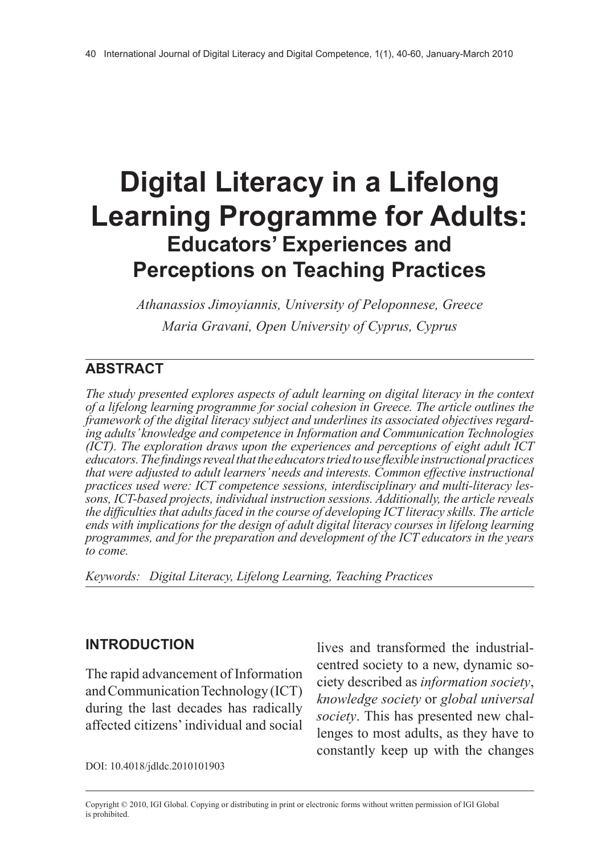# **Digital Literacy in a Lifelong Learning Programme for Adults: Educators' Experiences and Perceptions on Teaching Practices**

*Athanassios Jimoyiannis, University of Peloponnese, Greece Maria Gravani, Open University of Cyprus, Cyprus*

## **Abstract**

*The study presented explores aspects of adult learning on digital literacy in the context of a lifelong learning programme for social cohesion in Greece. The article outlines the framework of the digital literacy subject and underlines its associated objectives regarding adults' knowledge and competence in Information and Communication Technologies (ICT). The exploration draws upon the experiences and perceptions of eight adult ICT educators. The findings reveal that the educators tried to use flexible instructional practices that were adjusted to adult learners' needs and interests. Common effective instructional practices used were: ICT competence sessions, interdisciplinary and multi-literacy lessons, ICT-based projects, individual instruction sessions. Additionally, the article reveals the difficulties that adults faced in the course of developing ICT literacy skills. The article ends with implications for the design of adult digital literacy courses in lifelong learning programmes, and for the preparation and development of the ICT educators in the years to come.*

*Keywords: Digital Literacy, Lifelong Learning, Teaching Practices*

## **Introduction**

The rapid advancement of Information and Communication Technology (ICT) during the last decades has radically affected citizens' individual and social lives and transformed the industrialcentred society to a new, dynamic society described as *information society*, *knowledge society* or *global universal society*. This has presented new challenges to most adults, as they have to constantly keep up with the changes

DOI: 10.4018/jdldc.2010101903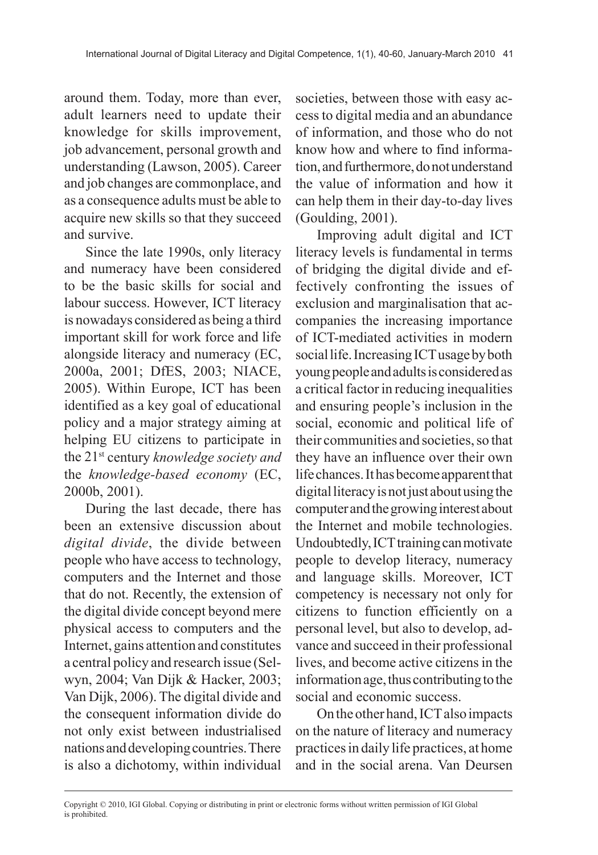around them. Today, more than ever, adult learners need to update their knowledge for skills improvement, job advancement, personal growth and understanding (Lawson, 2005). Career and job changes are commonplace, and as a consequence adults must be able to acquire new skills so that they succeed and survive.

Since the late 1990s, only literacy and numeracy have been considered to be the basic skills for social and labour success. However, ICT literacy is nowadays considered as being a third important skill for work force and life alongside literacy and numeracy (EC, 2000a, 2001; DfES, 2003; NIACE, 2005). Within Europe, ICT has been identified as a key goal of educational policy and a major strategy aiming at helping EU citizens to participate in the 21st century *knowledge society and* the *knowledge-based economy* (EC, 2000b, 2001).

During the last decade, there has been an extensive discussion about *digital divide*, the divide between people who have access to technology, computers and the Internet and those that do not. Recently, the extension of the digital divide concept beyond mere physical access to computers and the Internet, gains attention and constitutes a central policy and research issue (Selwyn, 2004; Van Dijk & Hacker, 2003; Van Dijk, 2006). The digital divide and the consequent information divide do not only exist between industrialised nations and developing countries. There is also a dichotomy, within individual

societies, between those with easy access to digital media and an abundance of information, and those who do not know how and where to find information, and furthermore, do not understand the value of information and how it can help them in their day-to-day lives (Goulding, 2001).

Improving adult digital and ICT literacy levels is fundamental in terms of bridging the digital divide and effectively confronting the issues of exclusion and marginalisation that accompanies the increasing importance of ICT-mediated activities in modern social life. Increasing ICT usage by both young people and adults is considered as a critical factor in reducing inequalities and ensuring people's inclusion in the social, economic and political life of their communities and societies, so that they have an influence over their own life chances. It has become apparent that digital literacy is not just about using the computer and the growing interest about the Internet and mobile technologies. Undoubtedly, ICT training can motivate people to develop literacy, numeracy and language skills. Moreover, ICT competency is necessary not only for citizens to function efficiently on a personal level, but also to develop, advance and succeed in their professional lives, and become active citizens in the information age, thus contributing to the social and economic success.

On the other hand, ICT also impacts on the nature of literacy and numeracy practices in daily life practices, at home and in the social arena. Van Deursen